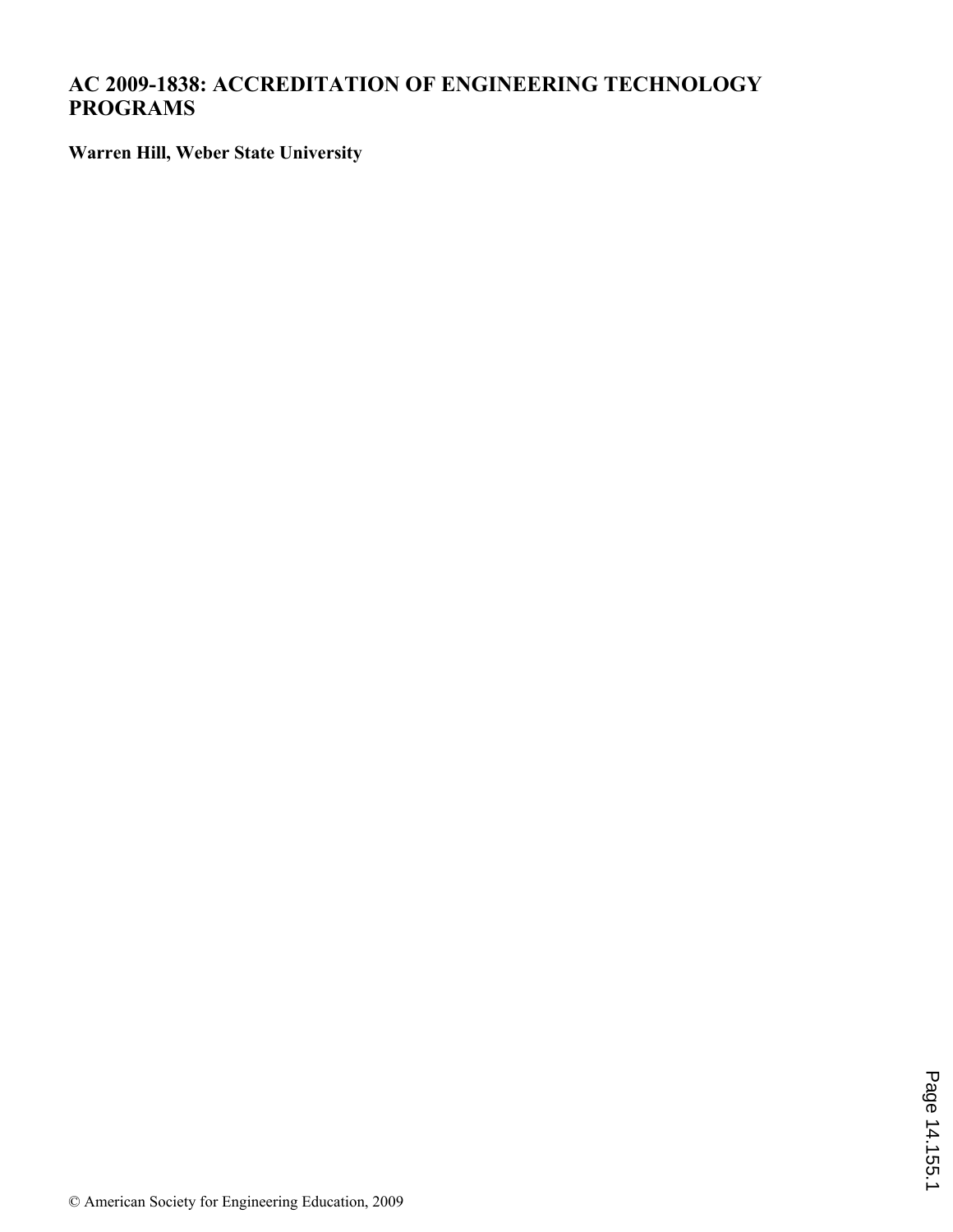# **AC 2009-1838: ACCREDITATION OF ENGINEERING TECHNOLOGY PROGRAMS**

**Warren Hill, Weber State University**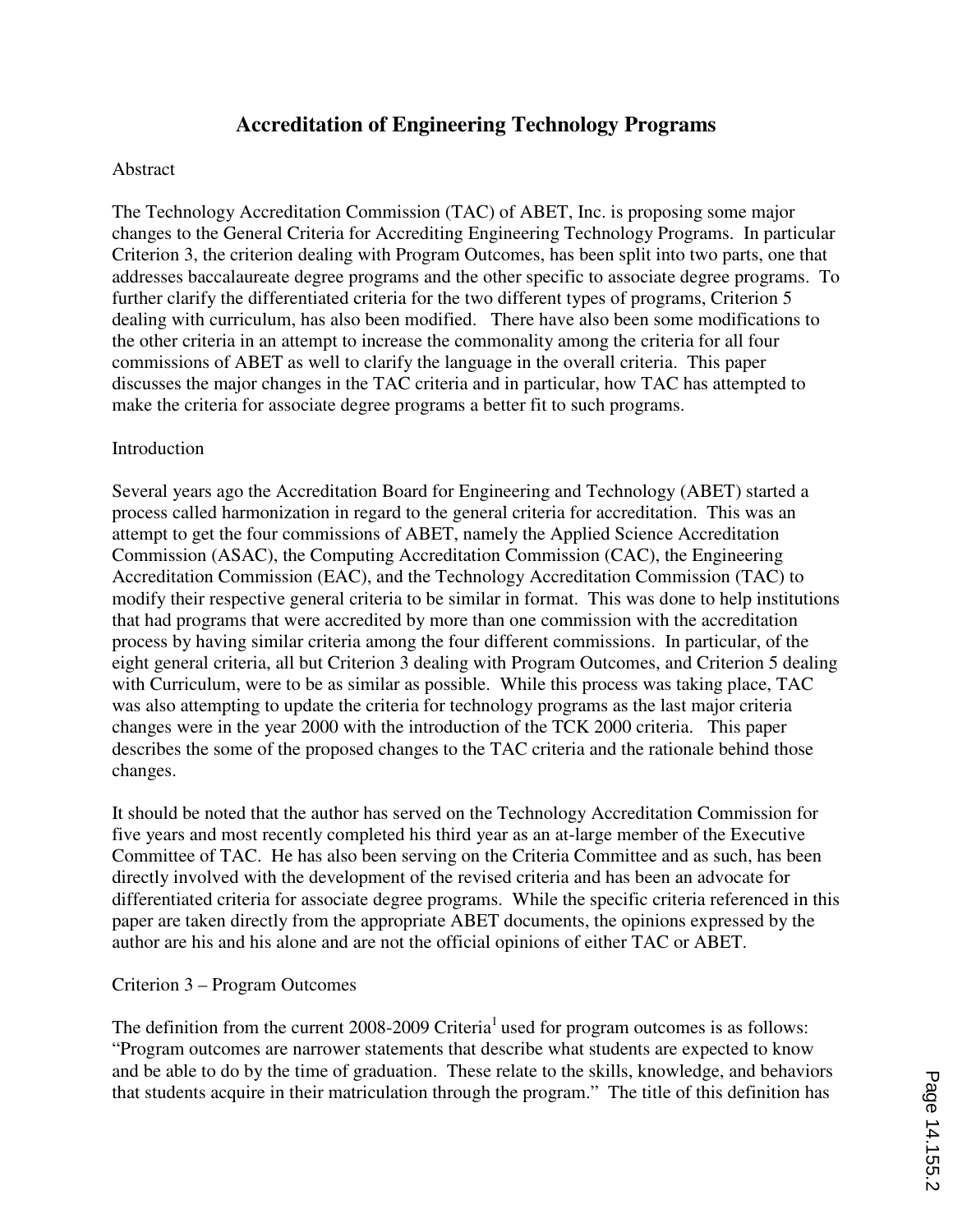# **Accreditation of Engineering Technology Programs**

#### Abstract

The Technology Accreditation Commission (TAC) of ABET, Inc. is proposing some major changes to the General Criteria for Accrediting Engineering Technology Programs. In particular Criterion 3, the criterion dealing with Program Outcomes, has been split into two parts, one that addresses baccalaureate degree programs and the other specific to associate degree programs. To further clarify the differentiated criteria for the two different types of programs, Criterion 5 dealing with curriculum, has also been modified. There have also been some modifications to the other criteria in an attempt to increase the commonality among the criteria for all four commissions of ABET as well to clarify the language in the overall criteria. This paper discusses the major changes in the TAC criteria and in particular, how TAC has attempted to make the criteria for associate degree programs a better fit to such programs.

### **Introduction**

Several years ago the Accreditation Board for Engineering and Technology (ABET) started a process called harmonization in regard to the general criteria for accreditation. This was an attempt to get the four commissions of ABET, namely the Applied Science Accreditation Commission (ASAC), the Computing Accreditation Commission (CAC), the Engineering Accreditation Commission (EAC), and the Technology Accreditation Commission (TAC) to modify their respective general criteria to be similar in format. This was done to help institutions that had programs that were accredited by more than one commission with the accreditation process by having similar criteria among the four different commissions. In particular, of the eight general criteria, all but Criterion 3 dealing with Program Outcomes, and Criterion 5 dealing with Curriculum, were to be as similar as possible. While this process was taking place, TAC was also attempting to update the criteria for technology programs as the last major criteria changes were in the year 2000 with the introduction of the TCK 2000 criteria. This paper describes the some of the proposed changes to the TAC criteria and the rationale behind those changes.

It should be noted that the author has served on the Technology Accreditation Commission for five years and most recently completed his third year as an at-large member of the Executive Committee of TAC. He has also been serving on the Criteria Committee and as such, has been directly involved with the development of the revised criteria and has been an advocate for differentiated criteria for associate degree programs. While the specific criteria referenced in this paper are taken directly from the appropriate ABET documents, the opinions expressed by the author are his and his alone and are not the official opinions of either TAC or ABET.

#### Criterion 3 – Program Outcomes

The definition from the current 2008-2009 Criteria<sup>1</sup> used for program outcomes is as follows: "Program outcomes are narrower statements that describe what students are expected to know and be able to do by the time of graduation. These relate to the skills, knowledge, and behaviors that students acquire in their matriculation through the program." The title of this definition has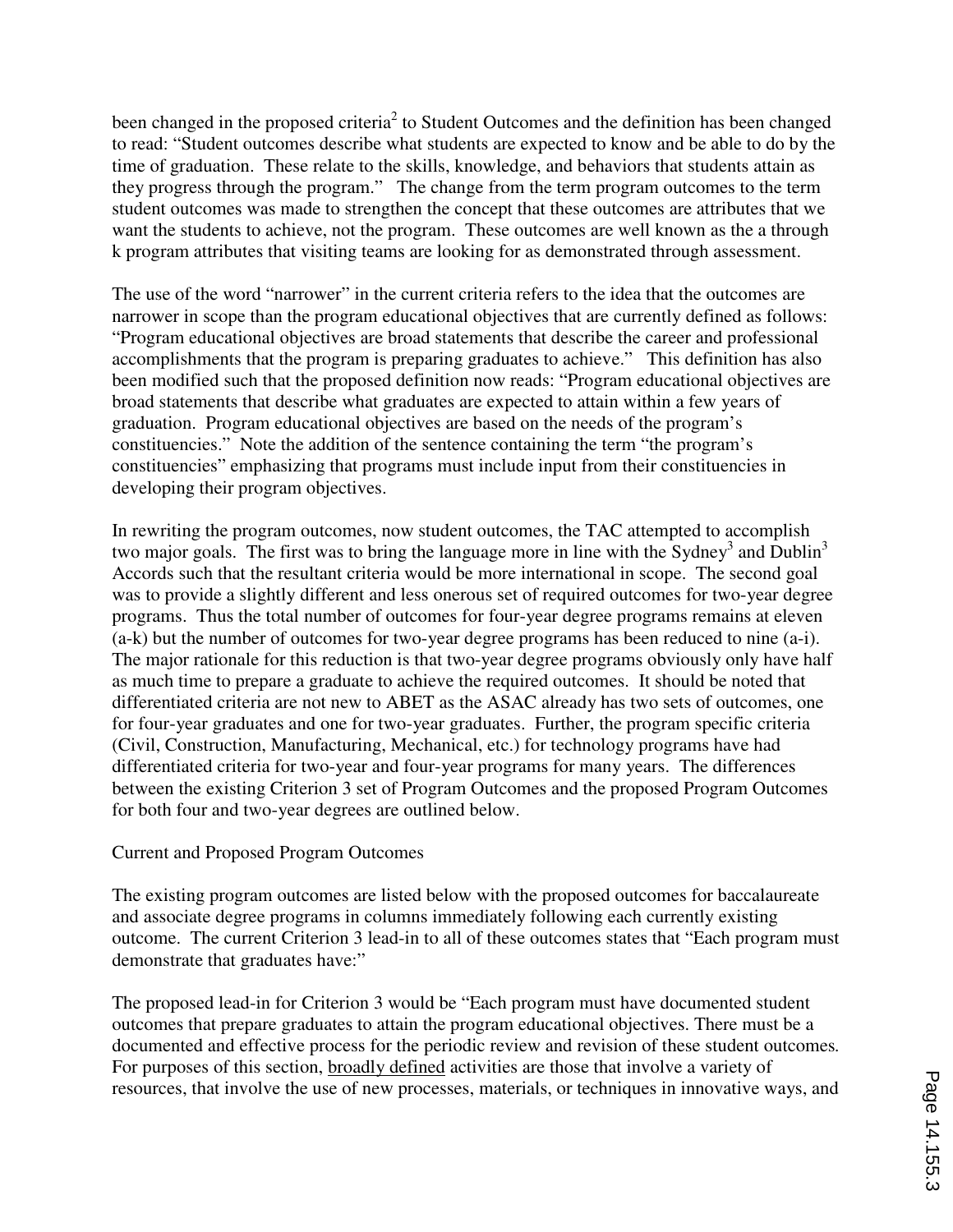been changed in the proposed criteria<sup>2</sup> to Student Outcomes and the definition has been changed to read: "Student outcomes describe what students are expected to know and be able to do by the time of graduation. These relate to the skills, knowledge, and behaviors that students attain as they progress through the program." The change from the term program outcomes to the term student outcomes was made to strengthen the concept that these outcomes are attributes that we want the students to achieve, not the program. These outcomes are well known as the a through k program attributes that visiting teams are looking for as demonstrated through assessment.

The use of the word "narrower" in the current criteria refers to the idea that the outcomes are narrower in scope than the program educational objectives that are currently defined as follows: "Program educational objectives are broad statements that describe the career and professional accomplishments that the program is preparing graduates to achieve." This definition has also been modified such that the proposed definition now reads: "Program educational objectives are broad statements that describe what graduates are expected to attain within a few years of graduation. Program educational objectives are based on the needs of the program's constituencies." Note the addition of the sentence containing the term "the program's constituencies" emphasizing that programs must include input from their constituencies in developing their program objectives.

In rewriting the program outcomes, now student outcomes, the TAC attempted to accomplish two major goals. The first was to bring the language more in line with the Sydney<sup>3</sup> and Dublin<sup>3</sup> Accords such that the resultant criteria would be more international in scope. The second goal was to provide a slightly different and less onerous set of required outcomes for two-year degree programs. Thus the total number of outcomes for four-year degree programs remains at eleven (a-k) but the number of outcomes for two-year degree programs has been reduced to nine (a-i). The major rationale for this reduction is that two-year degree programs obviously only have half as much time to prepare a graduate to achieve the required outcomes. It should be noted that differentiated criteria are not new to ABET as the ASAC already has two sets of outcomes, one for four-year graduates and one for two-year graduates. Further, the program specific criteria (Civil, Construction, Manufacturing, Mechanical, etc.) for technology programs have had differentiated criteria for two-year and four-year programs for many years. The differences between the existing Criterion 3 set of Program Outcomes and the proposed Program Outcomes for both four and two-year degrees are outlined below.

### Current and Proposed Program Outcomes

The existing program outcomes are listed below with the proposed outcomes for baccalaureate and associate degree programs in columns immediately following each currently existing outcome. The current Criterion 3 lead-in to all of these outcomes states that "Each program must demonstrate that graduates have:"

The proposed lead-in for Criterion 3 would be "Each program must have documented student outcomes that prepare graduates to attain the program educational objectives. There must be a documented and effective process for the periodic review and revision of these student outcomes*.*  For purposes of this section, broadly defined activities are those that involve a variety of resources, that involve the use of new processes, materials, or techniques in innovative ways, and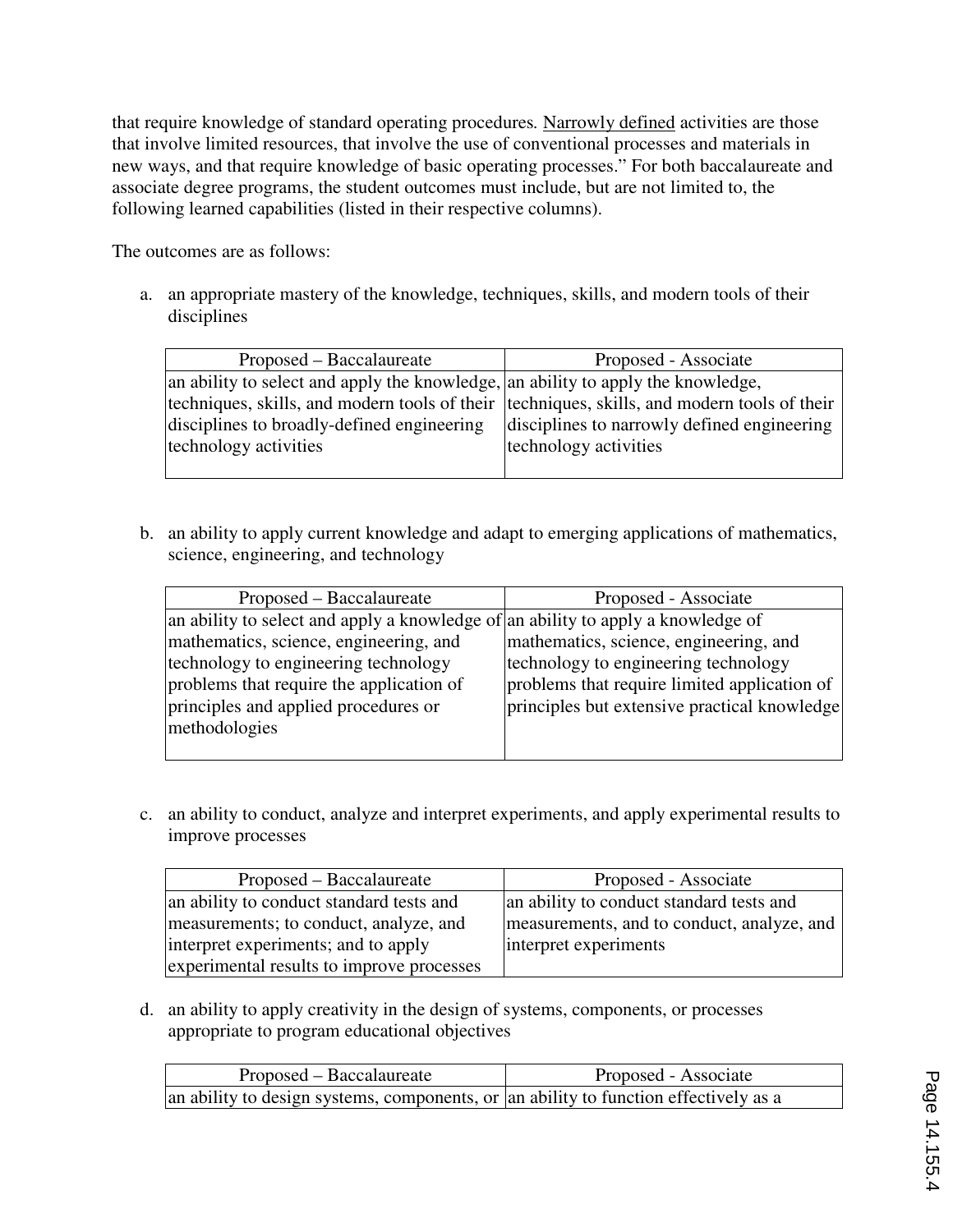that require knowledge of standard operating procedures*.* Narrowly defined activities are those that involve limited resources, that involve the use of conventional processes and materials in new ways, and that require knowledge of basic operating processes." For both baccalaureate and associate degree programs, the student outcomes must include, but are not limited to, the following learned capabilities (listed in their respective columns).

The outcomes are as follows:

a. an appropriate mastery of the knowledge, techniques, skills, and modern tools of their disciplines

| Proposed – Baccalaureate                                                                    | Proposed - Associate                        |
|---------------------------------------------------------------------------------------------|---------------------------------------------|
| an ability to select and apply the knowledge, an ability to apply the knowledge,            |                                             |
| techniques, skills, and modern tools of their techniques, skills, and modern tools of their |                                             |
| disciplines to broadly-defined engineering                                                  | disciplines to narrowly defined engineering |
| technology activities                                                                       | technology activities                       |
|                                                                                             |                                             |

b. an ability to apply current knowledge and adapt to emerging applications of mathematics, science, engineering, and technology

| Proposed – Baccalaureate                                                         | Proposed - Associate                         |
|----------------------------------------------------------------------------------|----------------------------------------------|
| an ability to select and apply a knowledge of an ability to apply a knowledge of |                                              |
| mathematics, science, engineering, and                                           | mathematics, science, engineering, and       |
| technology to engineering technology                                             | technology to engineering technology         |
| problems that require the application of                                         | problems that require limited application of |
| principles and applied procedures or                                             | principles but extensive practical knowledge |
| methodologies                                                                    |                                              |
|                                                                                  |                                              |

c. an ability to conduct, analyze and interpret experiments, and apply experimental results to improve processes

| Proposed – Baccalaureate                  | Proposed - Associate                       |
|-------------------------------------------|--------------------------------------------|
| an ability to conduct standard tests and  | an ability to conduct standard tests and   |
| measurements; to conduct, analyze, and    | measurements, and to conduct, analyze, and |
| interpret experiments; and to apply       | interpret experiments                      |
| experimental results to improve processes |                                            |

d. an ability to apply creativity in the design of systems, components, or processes appropriate to program educational objectives

| Proposed – Baccalaureate                                                             | Proposed - Associate |
|--------------------------------------------------------------------------------------|----------------------|
| an ability to design systems, components, or an ability to function effectively as a |                      |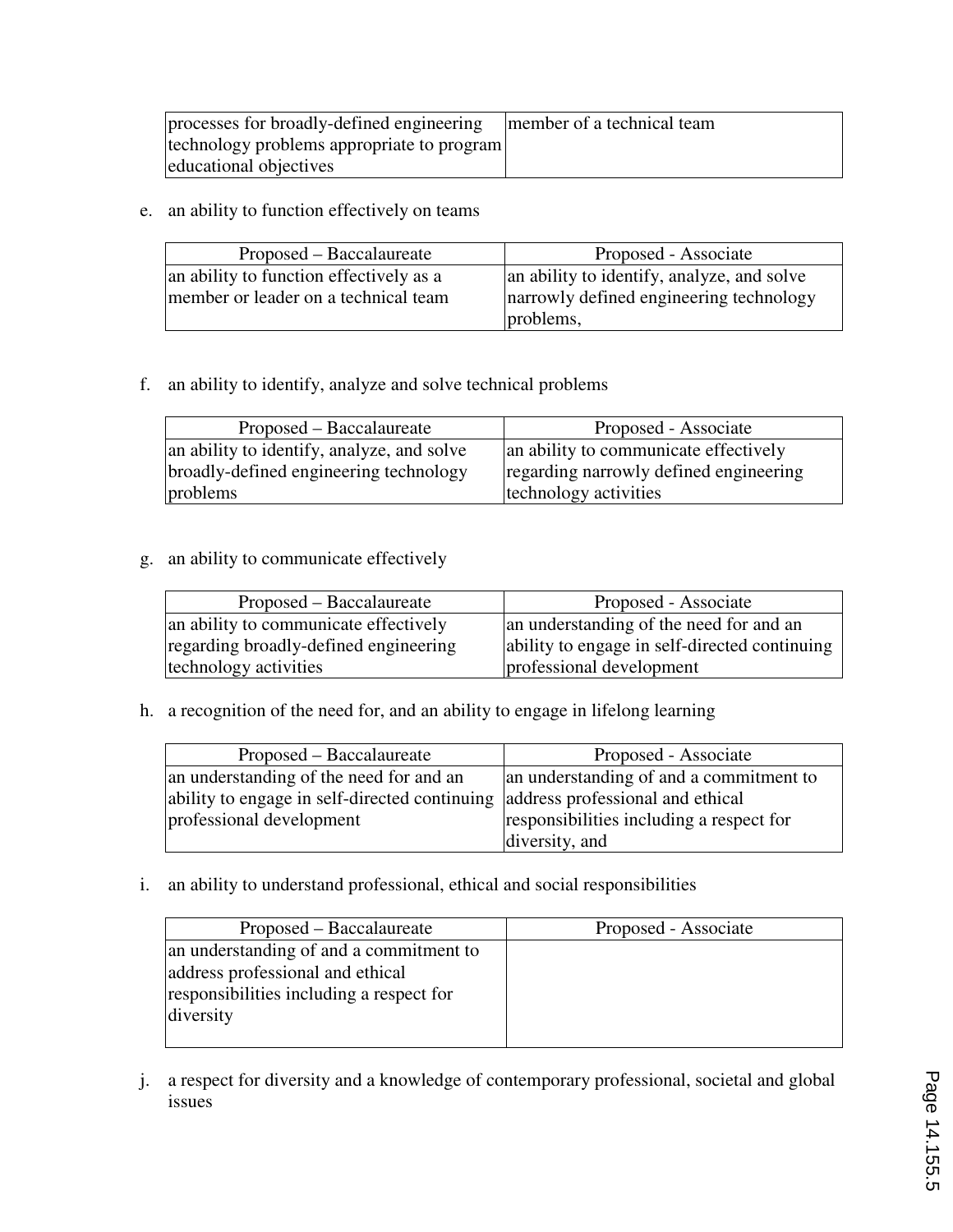| processes for broadly-defined engineering  | member of a technical team |
|--------------------------------------------|----------------------------|
| technology problems appropriate to program |                            |
| educational objectives                     |                            |

e. an ability to function effectively on teams

| Proposed – Baccalaureate                | Proposed - Associate                       |
|-----------------------------------------|--------------------------------------------|
| an ability to function effectively as a | an ability to identify, analyze, and solve |
| member or leader on a technical team    | narrowly defined engineering technology    |
|                                         | problems,                                  |

## f. an ability to identify, analyze and solve technical problems

| Proposed – Baccalaureate                   | Proposed - Associate                   |
|--------------------------------------------|----------------------------------------|
| an ability to identify, analyze, and solve | an ability to communicate effectively  |
| broadly-defined engineering technology     | regarding narrowly defined engineering |
| problems                                   | technology activities                  |

# g. an ability to communicate effectively

| Proposed – Baccalaureate              | Proposed - Associate                          |
|---------------------------------------|-----------------------------------------------|
| an ability to communicate effectively | an understanding of the need for and an       |
| regarding broadly-defined engineering | ability to engage in self-directed continuing |
| technology activities                 | professional development                      |

h. a recognition of the need for, and an ability to engage in lifelong learning

| Proposed – Baccalaureate                                                       | Proposed - Associate                     |
|--------------------------------------------------------------------------------|------------------------------------------|
| an understanding of the need for and an                                        | an understanding of and a commitment to  |
| ability to engage in self-directed continuing address professional and ethical |                                          |
| professional development                                                       | responsibilities including a respect for |
|                                                                                | diversity, and                           |

i. an ability to understand professional, ethical and social responsibilities

| Proposed – Baccalaureate                 | Proposed - Associate |
|------------------------------------------|----------------------|
| an understanding of and a commitment to  |                      |
| address professional and ethical         |                      |
| responsibilities including a respect for |                      |
| diversity                                |                      |
|                                          |                      |

j. a respect for diversity and a knowledge of contemporary professional, societal and global issues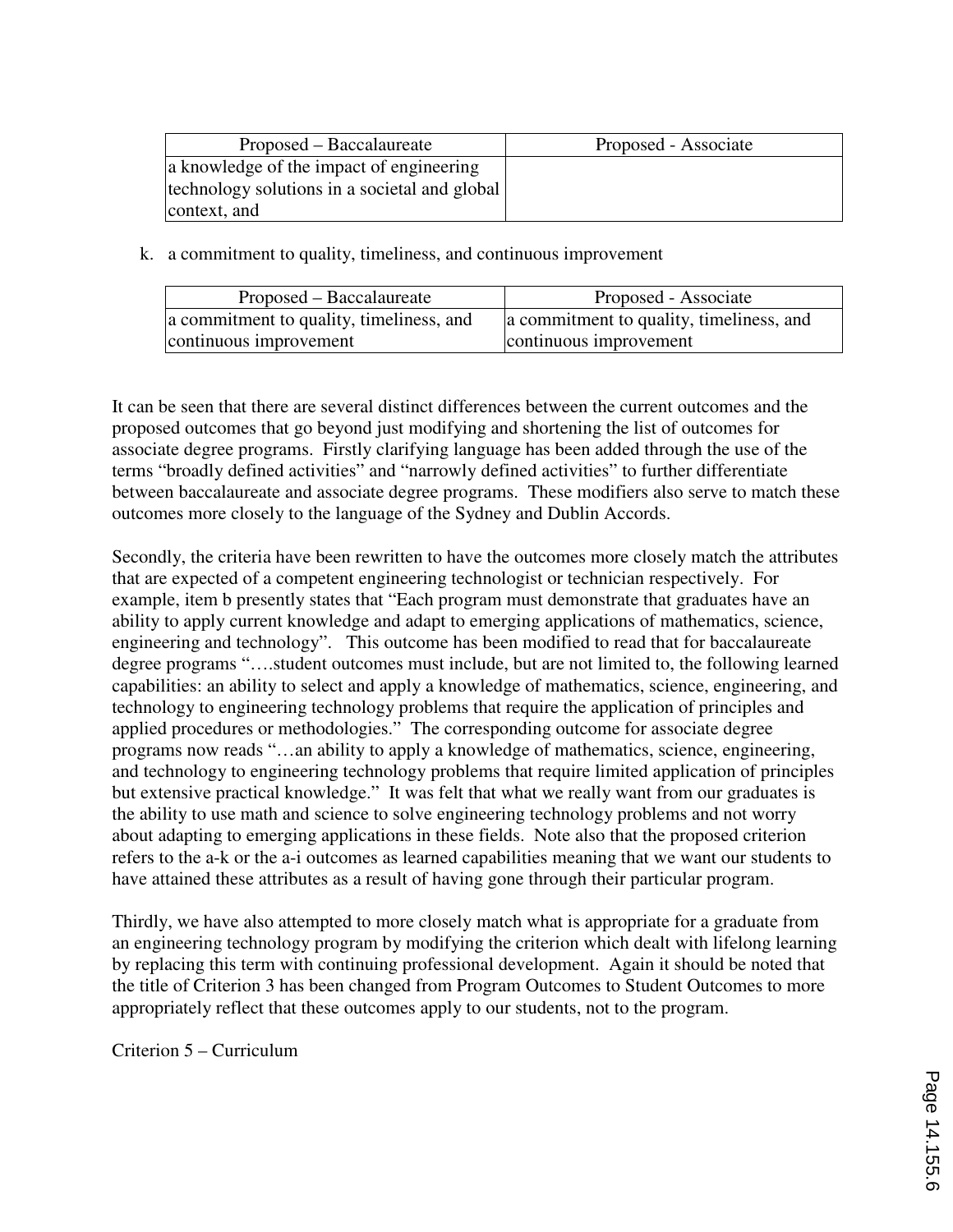| Proposed – Baccalaureate                      | Proposed - Associate |
|-----------------------------------------------|----------------------|
| a knowledge of the impact of engineering      |                      |
| technology solutions in a societal and global |                      |
| context, and                                  |                      |

k. a commitment to quality, timeliness, and continuous improvement

| Proposed – Baccalaureate                 | Proposed - Associate                     |
|------------------------------------------|------------------------------------------|
| a commitment to quality, timeliness, and | a commitment to quality, timeliness, and |
| continuous improvement                   | continuous improvement                   |

It can be seen that there are several distinct differences between the current outcomes and the proposed outcomes that go beyond just modifying and shortening the list of outcomes for associate degree programs. Firstly clarifying language has been added through the use of the terms "broadly defined activities" and "narrowly defined activities" to further differentiate between baccalaureate and associate degree programs. These modifiers also serve to match these outcomes more closely to the language of the Sydney and Dublin Accords.

Secondly, the criteria have been rewritten to have the outcomes more closely match the attributes that are expected of a competent engineering technologist or technician respectively. For example, item b presently states that "Each program must demonstrate that graduates have an ability to apply current knowledge and adapt to emerging applications of mathematics, science, engineering and technology". This outcome has been modified to read that for baccalaureate degree programs "….student outcomes must include, but are not limited to, the following learned capabilities: an ability to select and apply a knowledge of mathematics, science, engineering, and technology to engineering technology problems that require the application of principles and applied procedures or methodologies." The corresponding outcome for associate degree programs now reads "…an ability to apply a knowledge of mathematics, science, engineering, and technology to engineering technology problems that require limited application of principles but extensive practical knowledge." It was felt that what we really want from our graduates is the ability to use math and science to solve engineering technology problems and not worry about adapting to emerging applications in these fields. Note also that the proposed criterion refers to the a-k or the a-i outcomes as learned capabilities meaning that we want our students to have attained these attributes as a result of having gone through their particular program.

Thirdly, we have also attempted to more closely match what is appropriate for a graduate from an engineering technology program by modifying the criterion which dealt with lifelong learning by replacing this term with continuing professional development. Again it should be noted that the title of Criterion 3 has been changed from Program Outcomes to Student Outcomes to more appropriately reflect that these outcomes apply to our students, not to the program.

Criterion 5 – Curriculum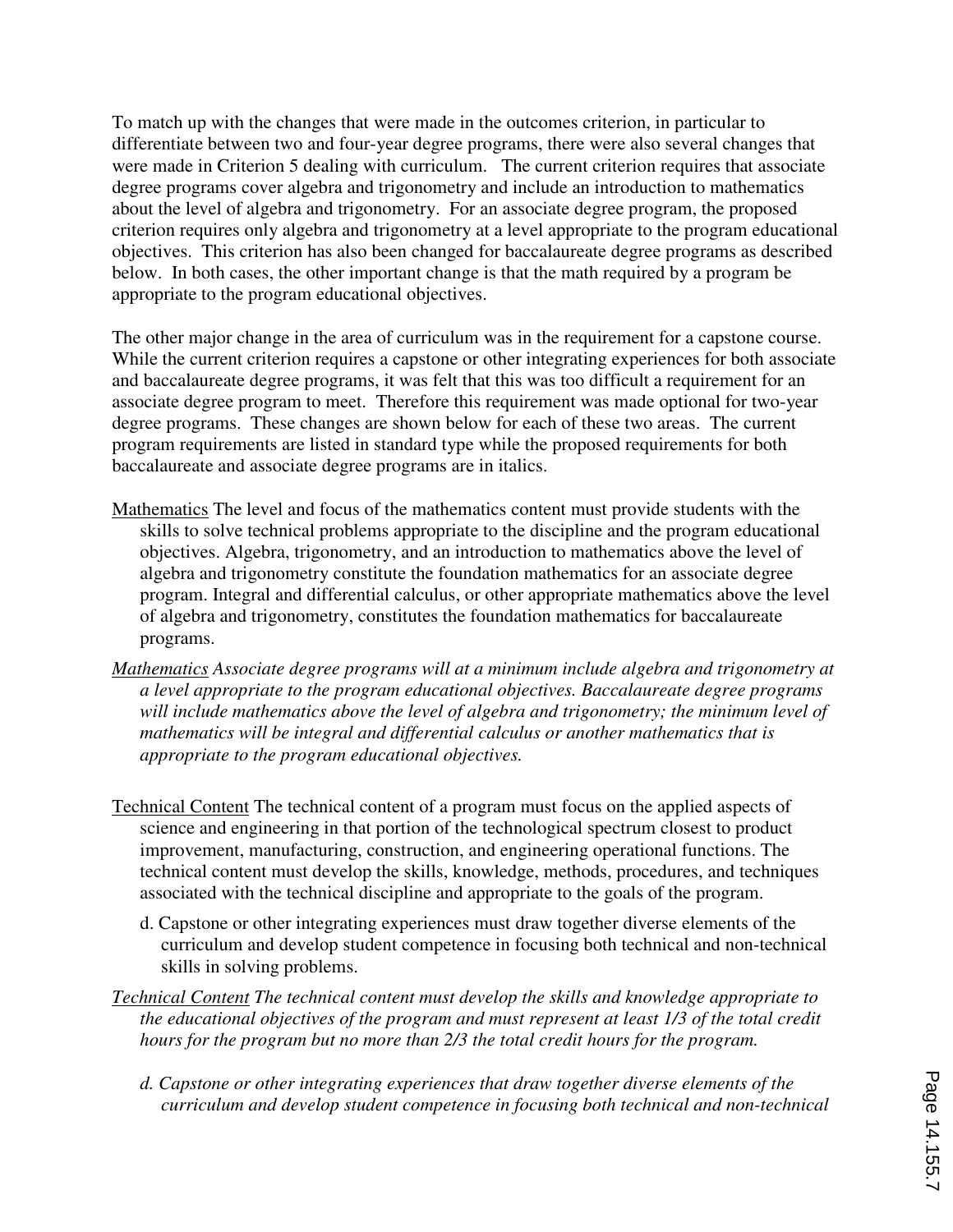To match up with the changes that were made in the outcomes criterion, in particular to differentiate between two and four-year degree programs, there were also several changes that were made in Criterion 5 dealing with curriculum. The current criterion requires that associate degree programs cover algebra and trigonometry and include an introduction to mathematics about the level of algebra and trigonometry. For an associate degree program, the proposed criterion requires only algebra and trigonometry at a level appropriate to the program educational objectives. This criterion has also been changed for baccalaureate degree programs as described below. In both cases, the other important change is that the math required by a program be appropriate to the program educational objectives.

The other major change in the area of curriculum was in the requirement for a capstone course. While the current criterion requires a capstone or other integrating experiences for both associate and baccalaureate degree programs, it was felt that this was too difficult a requirement for an associate degree program to meet. Therefore this requirement was made optional for two-year degree programs. These changes are shown below for each of these two areas. The current program requirements are listed in standard type while the proposed requirements for both baccalaureate and associate degree programs are in italics.

- Mathematics The level and focus of the mathematics content must provide students with the skills to solve technical problems appropriate to the discipline and the program educational objectives. Algebra, trigonometry, and an introduction to mathematics above the level of algebra and trigonometry constitute the foundation mathematics for an associate degree program. Integral and differential calculus, or other appropriate mathematics above the level of algebra and trigonometry, constitutes the foundation mathematics for baccalaureate programs.
- *Mathematics Associate degree programs will at a minimum include algebra and trigonometry at a level appropriate to the program educational objectives. Baccalaureate degree programs*  will include mathematics above the level of algebra and trigonometry; the minimum level of *mathematics will be integral and differential calculus or another mathematics that is appropriate to the program educational objectives.*
- Technical Content The technical content of a program must focus on the applied aspects of science and engineering in that portion of the technological spectrum closest to product improvement, manufacturing, construction, and engineering operational functions. The technical content must develop the skills, knowledge, methods, procedures, and techniques associated with the technical discipline and appropriate to the goals of the program.
	- d. Capstone or other integrating experiences must draw together diverse elements of the curriculum and develop student competence in focusing both technical and non-technical skills in solving problems.
- *Technical Content The technical content must develop the skills and knowledge appropriate to the educational objectives of the program and must represent at least 1/3 of the total credit hours for the program but no more than 2/3 the total credit hours for the program.* 
	- *d. Capstone or other integrating experiences that draw together diverse elements of the curriculum and develop student competence in focusing both technical and non-technical*